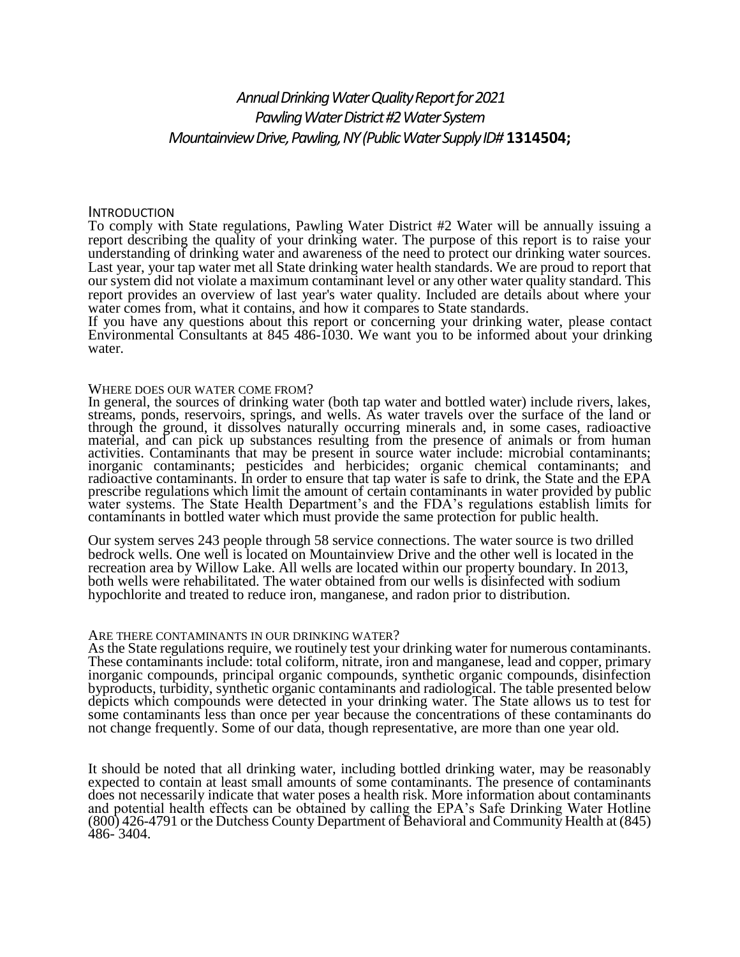# *Annual Drinking Water Quality Report for 2021 Pawling Water District #2 Water System Mountainview Drive, Pawling, NY (Public Water Supply ID#* **1314504;**

### INTRODUCTION

To comply with State regulations, Pawling Water District #2 Water will be annually issuing a report describing the quality of your drinking water. The purpose of this report is to raise your understanding of drinking water and awareness of the need to protect our drinking water sources. Last year, your tap water met all State drinking water health standards. We are proud to report that our system did not violate a maximum contaminant level or any other water quality standard. This report provides an overview of last year's water quality. Included are details about where your water comes from, what it contains, and how it compares to State standards.

If you have any questions about this report or concerning your drinking water, please contact Environmental Consultants at 845 486-1030. We want you to be informed about your drinking water.

#### WHERE DOES OUR WATER COME FROM?

In general, the sources of drinking water (both tap water and bottled water) include rivers, lakes, streams, ponds, reservoirs, springs, and wells. As water travels over the surface of the land or through the ground, it dissolves naturally occurring minerals and, in some cases, radioactive material, and can pick up substances resulting from the presence of animals or from human activities. Contaminants that may be present in source water include: microbial contaminants; inorganic contaminants; pesticides and herbicides; organic chemical contaminants; and radioactive contaminants. In order to ensure that tap water is safe to drink, the State and the EPA prescribe regulations which limit the amount of certain contaminants in water provided by public water systems. The State Health Department's and the FDA's regulations establish limits for contaminants in bottled water which must provide the same protection for public health.

Our system serves 243 people through 58 service connections. The water source is two drilled bedrock wells. One well is located on Mountainview Drive and the other well is located in the recreation area by Willow Lake. All wells are located within our property boundary. In 2013, both wells were rehabilitated. The water obtained from our wells is disinfected with sodium hypochlorite and treated to reduce iron, manganese, and radon prior to distribution.

### ARE THERE CONTAMINANTS IN OUR DRINKING WATER?

As the State regulations require, we routinely test your drinking water for numerous contaminants. These contaminants include: total coliform, nitrate, iron and manganese, lead and copper, primary inorganic compounds, principal organic compounds, synthetic organic compounds, disinfection byproducts, turbidity, synthetic organic contaminants and radiological. The table presented below depicts which compounds were detected in your drinking water. The State allows us to test for some contaminants less than once per year because the concentrations of these contaminants do not change frequently. Some of our data, though representative, are more than one year old.

It should be noted that all drinking water, including bottled drinking water, may be reasonably expected to contain at least small amounts of some contaminants. The presence of contaminants does not necessarily indicate that water poses a health risk. More information about contaminants and potential health effects can be obtained by calling the EPA's Safe Drinking Water Hotline (800) 426-4791 or the Dutchess County Department of Behavioral and Community Health at (845) 486- 3404.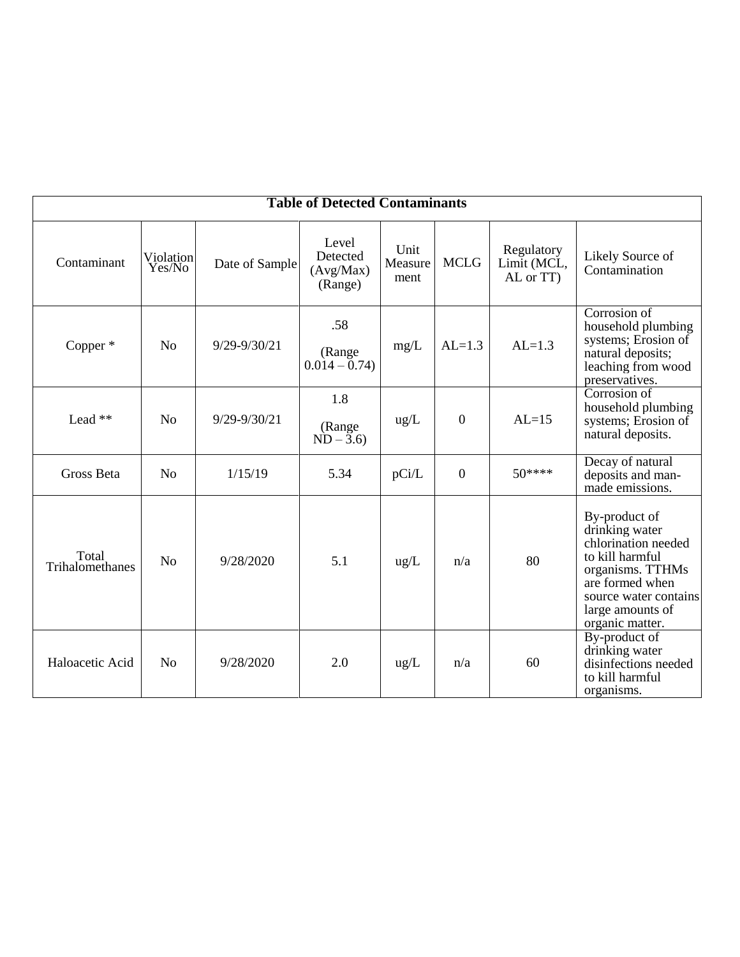| <b>Table of Detected Contaminants</b> |                     |                |                                           |                         |                  |                                        |                                                                                                                                                                                  |
|---------------------------------------|---------------------|----------------|-------------------------------------------|-------------------------|------------------|----------------------------------------|----------------------------------------------------------------------------------------------------------------------------------------------------------------------------------|
| Contaminant                           | Violation<br>Yes/No | Date of Sample | Level<br>Detected<br>(Avg/Max)<br>(Range) | Unit<br>Measure<br>ment | <b>MCLG</b>      | Regulatory<br>Limit (MCL,<br>AL or TT) | Likely Source of<br>Contamination                                                                                                                                                |
| Copper $*$                            | N <sub>o</sub>      | 9/29-9/30/21   | .58<br>(Range<br>$0.014 - 0.74$           | mg/L                    | $AL=1.3$         | $AL=1.3$                               | Corrosion of<br>household plumbing<br>systems; Erosion of<br>natural deposits;<br>leaching from wood<br>preservatives.                                                           |
| Lead **                               | No                  | 9/29-9/30/21   | 1.8<br>(Range<br>$ND - 3.6$               | ug/L                    | $\overline{0}$   | $AL=15$                                | Corrosion of<br>household plumbing<br>systems; Erosion of<br>natural deposits.                                                                                                   |
| Gross Beta                            | N <sub>o</sub>      | 1/15/19        | 5.34                                      | pCi/L                   | $\boldsymbol{0}$ | $50***$                                | Decay of natural<br>deposits and man-<br>made emissions.                                                                                                                         |
| Total<br>Trihalomethanes              | N <sub>0</sub>      | 9/28/2020      | 5.1                                       | ug/L                    | n/a              | 80                                     | By-product of<br>drinking water<br>chlorination needed<br>to kill harmful<br>organisms. TTHMs<br>are formed when<br>source water contains<br>large amounts of<br>organic matter. |
| Haloacetic Acid                       | N <sub>0</sub>      | 9/28/2020      | 2.0                                       | $\text{ug/L}$           | n/a              | 60                                     | By-product of<br>drinking water<br>disinfections needed<br>to kill harmful<br>organisms.                                                                                         |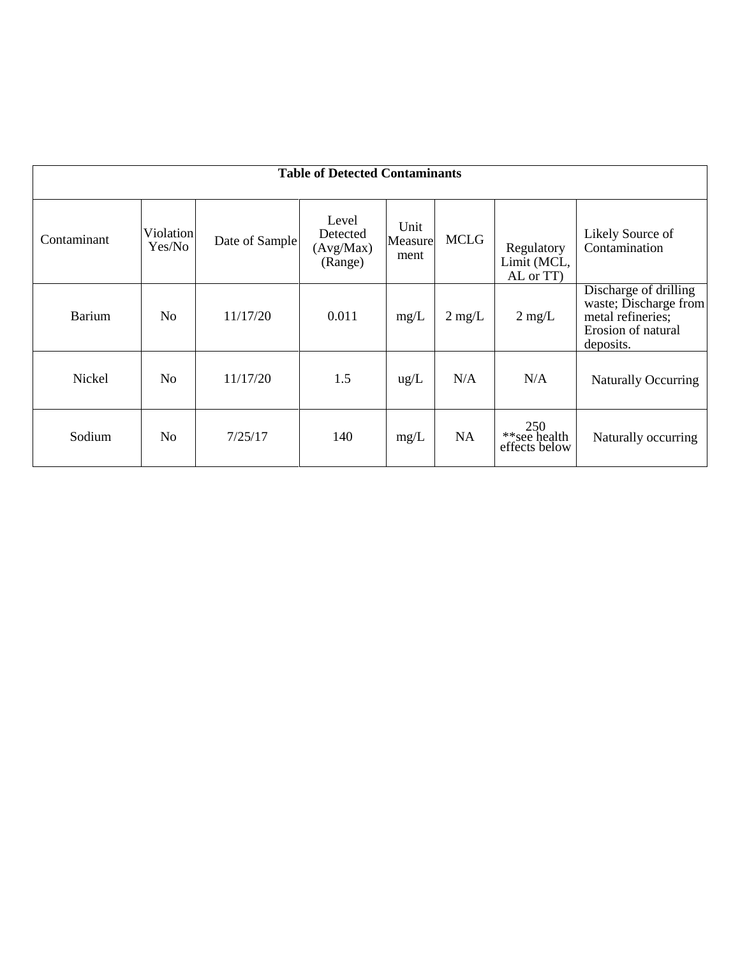| <b>Table of Detected Contaminants</b> |                     |                |                                           |                         |                  |                                        |                                                                                                        |  |
|---------------------------------------|---------------------|----------------|-------------------------------------------|-------------------------|------------------|----------------------------------------|--------------------------------------------------------------------------------------------------------|--|
|                                       |                     |                |                                           |                         |                  |                                        |                                                                                                        |  |
| Contaminant                           | Violation<br>Yes/No | Date of Sample | Level<br>Detected<br>(Avg/Max)<br>(Range) | Unit<br>Measure<br>ment | <b>MCLG</b>      | Regulatory<br>Limit (MCL,<br>AL or TT) | Likely Source of<br>Contamination                                                                      |  |
| <b>Barium</b>                         | N <sub>0</sub>      | 11/17/20       | 0.011                                     | mg/L                    | $2 \text{ mg/L}$ | $2 \text{ mg/L}$                       | Discharge of drilling<br>waste; Discharge from<br>metal refineries;<br>Erosion of natural<br>deposits. |  |
| Nickel                                | N <sub>o</sub>      | 11/17/20       | 1.5                                       | $\text{ug/L}$           | N/A              | N/A                                    | Naturally Occurring                                                                                    |  |
| Sodium                                | N <sub>o</sub>      | 7/25/17        | 140                                       | mg/L                    | <b>NA</b>        | $250$<br>**see health<br>effects below | Naturally occurring                                                                                    |  |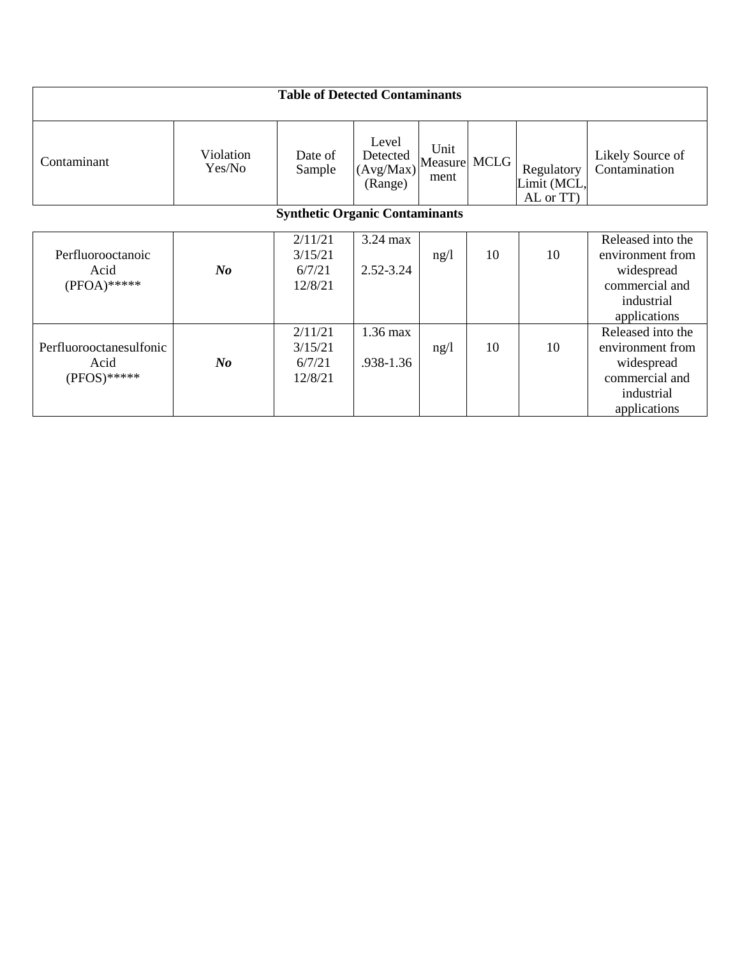| <b>Table of Detected Contaminants</b>             |                     |                                         |                                           |                         |             |                                        |                                                                                                     |  |
|---------------------------------------------------|---------------------|-----------------------------------------|-------------------------------------------|-------------------------|-------------|----------------------------------------|-----------------------------------------------------------------------------------------------------|--|
| Contaminant                                       | Violation<br>Yes/No | Date of<br>Sample                       | Level<br>Detected<br>(Avg/Max)<br>(Range) | Unit<br>Measure<br>ment | <b>MCLG</b> | Regulatory<br>Limit (MCL,<br>AL or TT) | Likely Source of<br>Contamination                                                                   |  |
| <b>Synthetic Organic Contaminants</b>             |                     |                                         |                                           |                         |             |                                        |                                                                                                     |  |
| Perfluorooctanoic<br>Acid<br>$(PFOA)$ *****       | $N_{0}$             | 2/11/21<br>3/15/21<br>6/7/21<br>12/8/21 | 3.24 max<br>$2.52 - 3.24$                 | ng/l                    | 10          | 10                                     | Released into the<br>environment from<br>widespread<br>commercial and<br>industrial<br>applications |  |
| Perfluorooctanesulfonic<br>Acid<br>$(PPOS)$ ***** | $\bm{N}$ o          | 2/11/21<br>3/15/21<br>6/7/21<br>12/8/21 | 1.36 max<br>.938-1.36                     | ng/l                    | 10          | 10                                     | Released into the<br>environment from<br>widespread<br>commercial and<br>industrial<br>applications |  |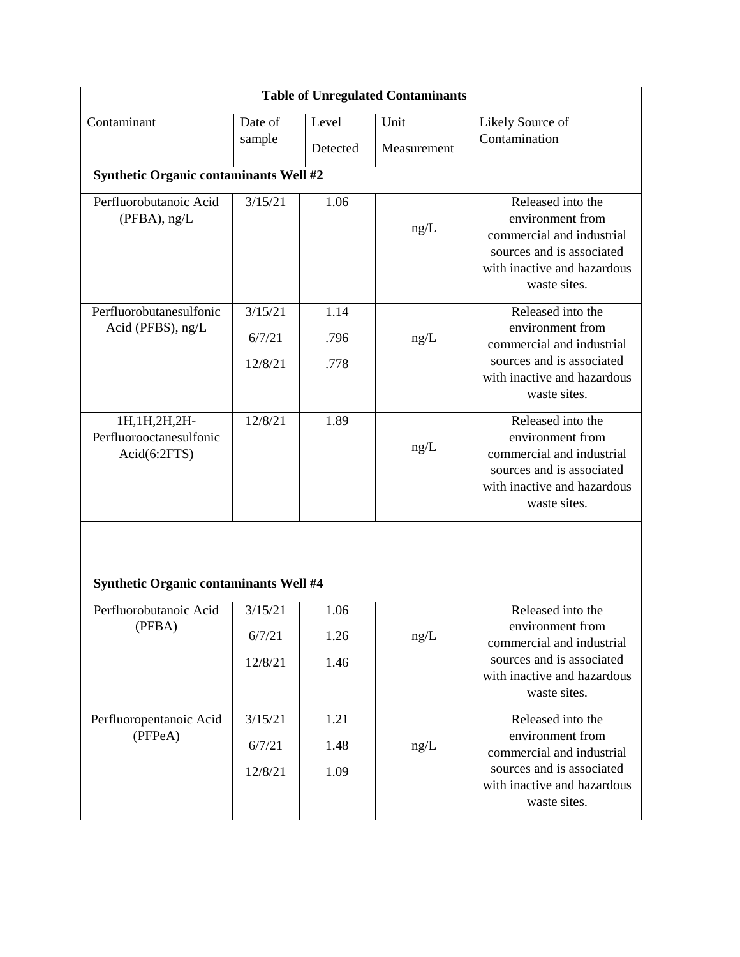| <b>Table of Unregulated Contaminants</b>                   |                                               |              |             |                                                                                                                                                |  |  |  |  |  |  |
|------------------------------------------------------------|-----------------------------------------------|--------------|-------------|------------------------------------------------------------------------------------------------------------------------------------------------|--|--|--|--|--|--|
| Contaminant                                                | Date of                                       | Level        | Unit        | Likely Source of<br>Contamination                                                                                                              |  |  |  |  |  |  |
|                                                            | sample                                        | Detected     | Measurement |                                                                                                                                                |  |  |  |  |  |  |
|                                                            | <b>Synthetic Organic contaminants Well #2</b> |              |             |                                                                                                                                                |  |  |  |  |  |  |
| Perfluorobutanoic Acid<br>(PFBA), ng/L                     | 3/15/21                                       | 1.06         | ng/L        | Released into the<br>environment from<br>commercial and industrial<br>sources and is associated<br>with inactive and hazardous<br>waste sites. |  |  |  |  |  |  |
| Perfluorobutanesulfonic<br>Acid (PFBS), ng/L               | 3/15/21<br>6/7/21                             | 1.14<br>.796 | ng/L        | Released into the<br>environment from<br>commercial and industrial                                                                             |  |  |  |  |  |  |
|                                                            | 12/8/21                                       | .778         |             | sources and is associated<br>with inactive and hazardous<br>waste sites.                                                                       |  |  |  |  |  |  |
| 1H, 1H, 2H, 2H-<br>Perfluorooctanesulfonic<br>Acid(6:2FTS) | 12/8/21                                       | 1.89         | ng/L        | Released into the<br>environment from<br>commercial and industrial<br>sources and is associated<br>with inactive and hazardous<br>waste sites. |  |  |  |  |  |  |
| <b>Synthetic Organic contaminants Well #4</b>              |                                               |              |             |                                                                                                                                                |  |  |  |  |  |  |
| Perfluorobutanoic Acid                                     | 3/15/21                                       | 1.06         |             | Released into the<br>environment from                                                                                                          |  |  |  |  |  |  |
| (PFBA)                                                     | 6/7/21                                        | 1.26         | ng/L        | commercial and industrial                                                                                                                      |  |  |  |  |  |  |
|                                                            | 12/8/21                                       | 1.46         |             | sources and is associated<br>with inactive and hazardous<br>waste sites.                                                                       |  |  |  |  |  |  |
| Perfluoropentanoic Acid                                    | 3/15/21                                       | 1.21         |             | Released into the<br>environment from                                                                                                          |  |  |  |  |  |  |
| (PFPeA)                                                    | 6/7/21                                        | 1.48         | ng/L        | commercial and industrial                                                                                                                      |  |  |  |  |  |  |
|                                                            | 12/8/21                                       | 1.09         |             | sources and is associated<br>with inactive and hazardous<br>waste sites.                                                                       |  |  |  |  |  |  |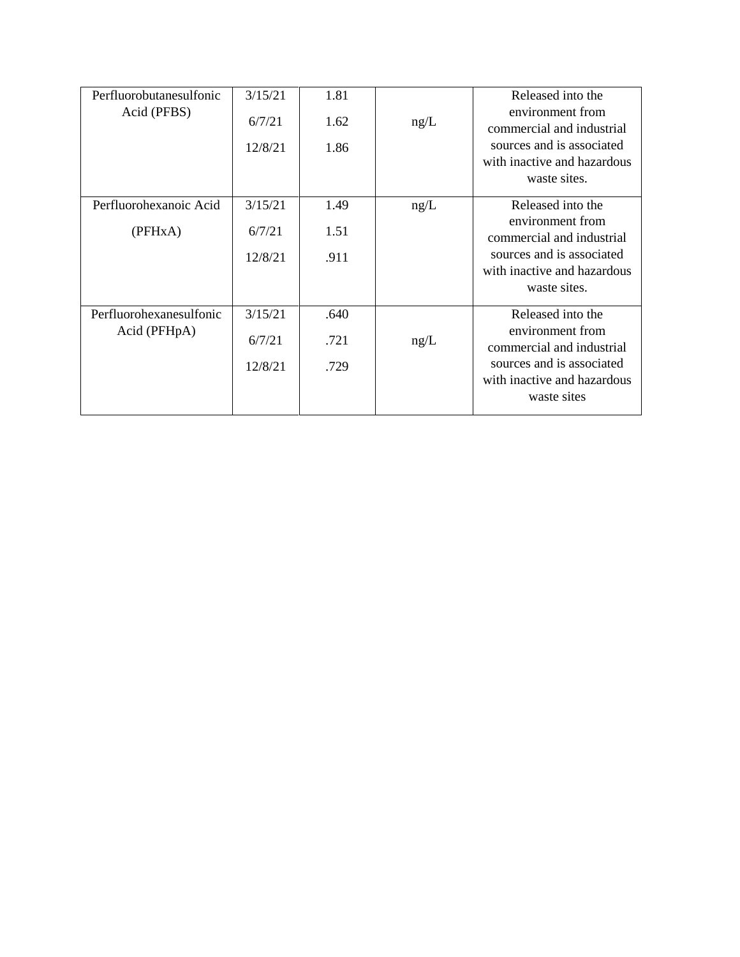| Perfluorobutanesulfonic   | 3/15/21 | 1.81 |      | Released into the                             |
|---------------------------|---------|------|------|-----------------------------------------------|
| Acid (PFBS)               | 6/7/21  | 1.62 | ng/L | environment from<br>commercial and industrial |
|                           | 12/8/21 | 1.86 |      | sources and is associated                     |
|                           |         |      |      | with inactive and hazardous<br>waste sites.   |
| Perfluorohexanoic Acid    | 3/15/21 | 1.49 | ng/L | Released into the                             |
|                           |         |      |      | environment from                              |
| (PFHxA)                   | 6/7/21  | 1.51 |      | commercial and industrial                     |
|                           | 12/8/21 | .911 |      | sources and is associated                     |
|                           |         |      |      | with inactive and hazardous                   |
|                           |         |      |      | waste sites.                                  |
| Perfluorohexanesulfonic   | 3/15/21 | .640 |      | Released into the                             |
| Acid (PFH <sub>pA</sub> ) | 6/7/21  | .721 | ng/L | environment from<br>commercial and industrial |
|                           | 12/8/21 | .729 |      | sources and is associated                     |
|                           |         |      |      | with inactive and hazardous                   |
|                           |         |      |      | waste sites                                   |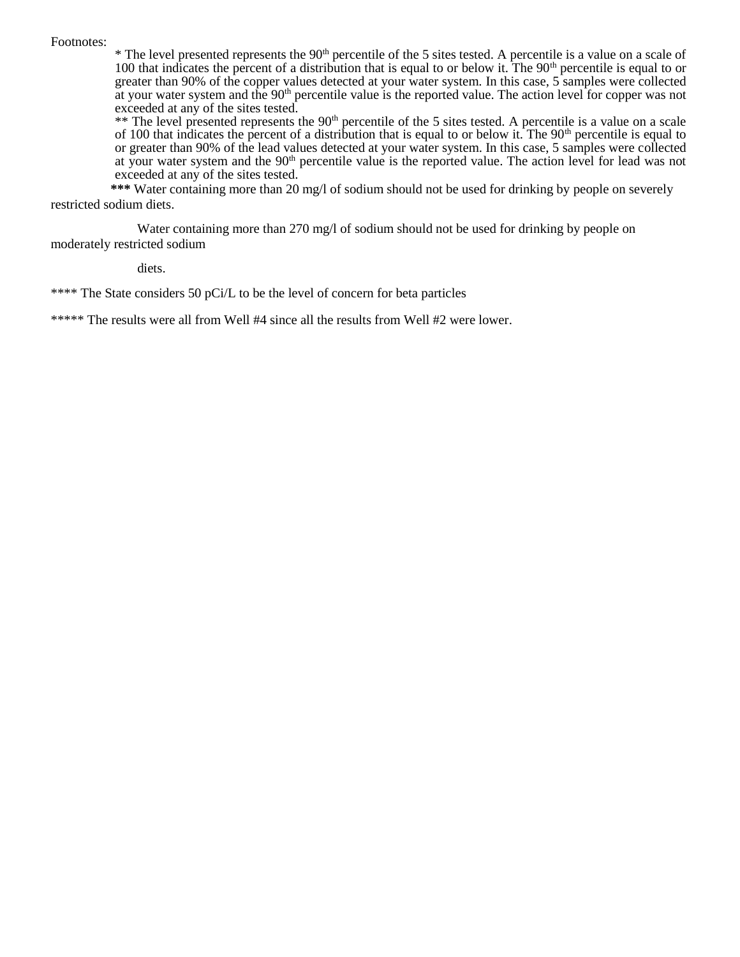#### Footnotes:

 $*$  The level presented represents the 90<sup>th</sup> percentile of the 5 sites tested. A percentile is a value on a scale of 100 that indicates the percent of a distribution that is equal to or below it. The 90<sup>th</sup> percentile is equal to or greater than 90% of the copper values detected at your water system. In this case, 5 samples were collected at your water system and the  $90<sup>th</sup>$  percentile value is the reported value. The action level for copper was not exceeded at any of the sites tested.

\*\* The level presented represents the 90<sup>th</sup> percentile of the 5 sites tested. A percentile is a value on a scale of 100 that indicates the percent of a distribution that is equal to or below it. The 90<sup>th</sup> percentile is equal to or greater than 90% of the lead values detected at your water system. In this case, 5 samples were collected at your water system and the 90<sup>th</sup> percentile value is the reported value. The action level for lead was not exceeded at any of the sites tested.

 **\*\*\*** Water containing more than 20 mg/l of sodium should not be used for drinking by people on severely restricted sodium diets.

Water containing more than 270 mg/l of sodium should not be used for drinking by people on moderately restricted sodium

diets.

\*\*\*\* The State considers 50 pCi/L to be the level of concern for beta particles

\*\*\*\*\* The results were all from Well #4 since all the results from Well #2 were lower.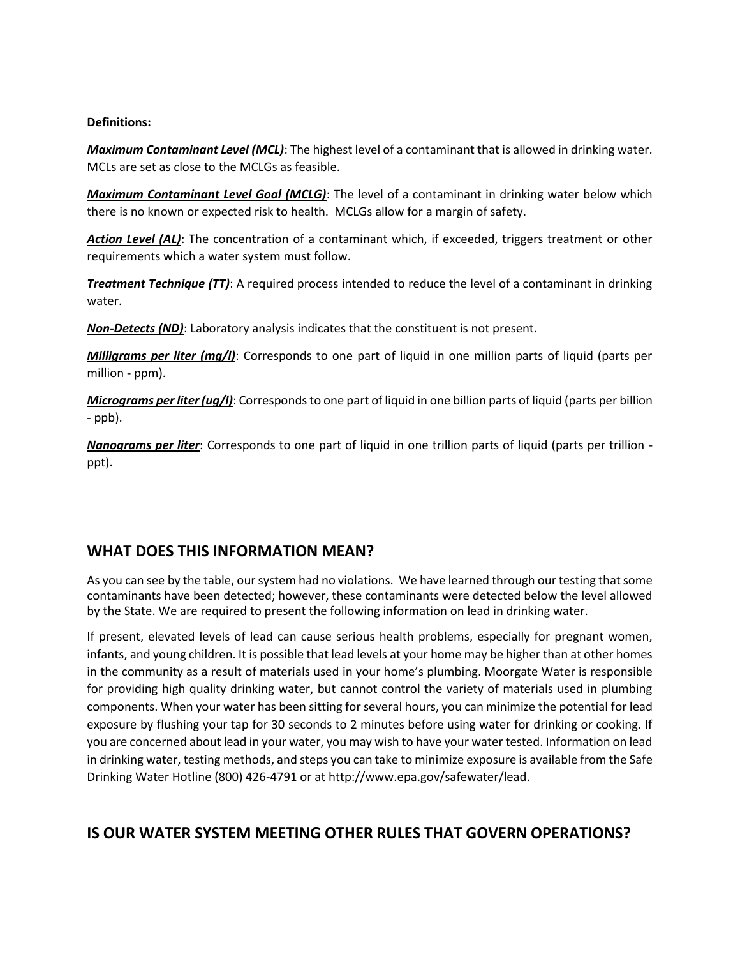### **Definitions:**

*Maximum Contaminant Level (MCL)*: The highest level of a contaminant that is allowed in drinking water. MCLs are set as close to the MCLGs as feasible.

*Maximum Contaminant Level Goal (MCLG)*: The level of a contaminant in drinking water below which there is no known or expected risk to health. MCLGs allow for a margin of safety.

Action Level (AL): The concentration of a contaminant which, if exceeded, triggers treatment or other requirements which a water system must follow.

*Treatment Technique (TT)*: A required process intended to reduce the level of a contaminant in drinking water.

*Non-Detects (ND)*: Laboratory analysis indicates that the constituent is not present.

*Milligrams per liter (mg/l)*: Corresponds to one part of liquid in one million parts of liquid (parts per million - ppm).

*Micrograms per liter (ug/l)*: Corresponds to one part of liquid in one billion parts of liquid (parts per billion - ppb).

*Nanograms per liter*: Corresponds to one part of liquid in one trillion parts of liquid (parts per trillion ppt).

## **WHAT DOES THIS INFORMATION MEAN?**

As you can see by the table, our system had no violations. We have learned through our testing that some contaminants have been detected; however, these contaminants were detected below the level allowed by the State. We are required to present the following information on lead in drinking water.

If present, elevated levels of lead can cause serious health problems, especially for pregnant women, infants, and young children. It is possible that lead levels at your home may be higher than at other homes in the community as a result of materials used in your home's plumbing. Moorgate Water is responsible for providing high quality drinking water, but cannot control the variety of materials used in plumbing components. When your water has been sitting for several hours, you can minimize the potential for lead exposure by flushing your tap for 30 seconds to 2 minutes before using water for drinking or cooking. If you are concerned about lead in your water, you may wish to have your water tested. Information on lead in drinking water, testing methods, and steps you can take to minimize exposure is available from the Safe Drinking Water Hotline (800) 426-4791 or at http://www.epa.gov/safewater/lead.

# **IS OUR WATER SYSTEM MEETING OTHER RULES THAT GOVERN OPERATIONS?**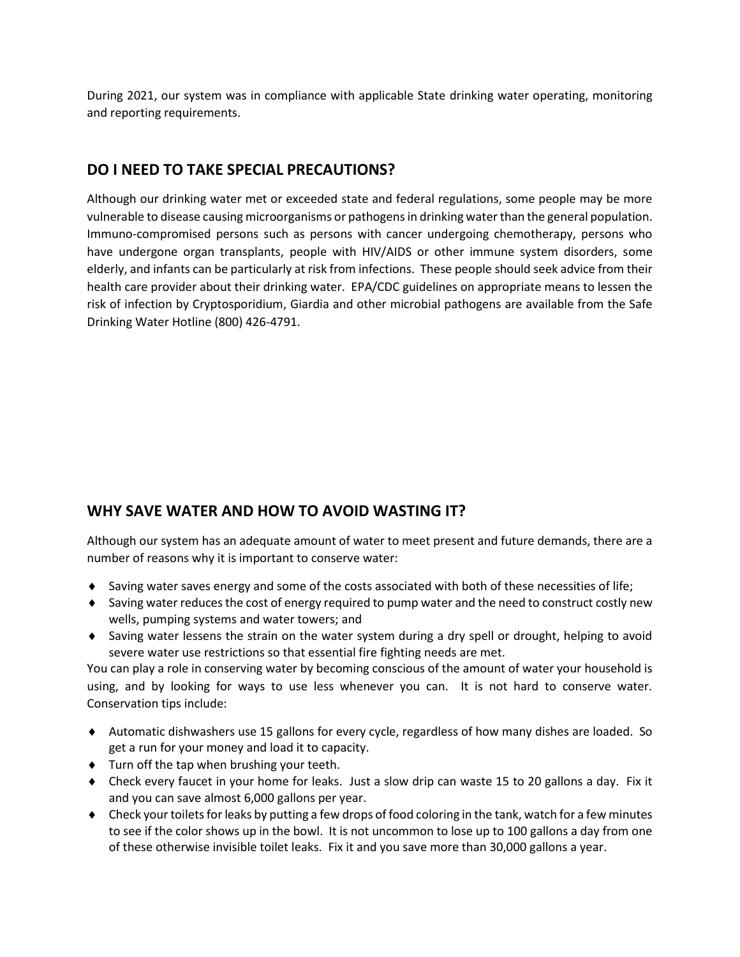During 2021, our system was in compliance with applicable State drinking water operating, monitoring and reporting requirements.

## **DO I NEED TO TAKE SPECIAL PRECAUTIONS?**

Although our drinking water met or exceeded state and federal regulations, some people may be more vulnerable to disease causing microorganisms or pathogens in drinking water than the general population. Immuno-compromised persons such as persons with cancer undergoing chemotherapy, persons who have undergone organ transplants, people with HIV/AIDS or other immune system disorders, some elderly, and infants can be particularly at risk from infections. These people should seek advice from their health care provider about their drinking water. EPA/CDC guidelines on appropriate means to lessen the risk of infection by Cryptosporidium, Giardia and other microbial pathogens are available from the Safe Drinking Water Hotline (800) 426-4791.

# **WHY SAVE WATER AND HOW TO AVOID WASTING IT?**

Although our system has an adequate amount of water to meet present and future demands, there are a number of reasons why it is important to conserve water:

- $\bullet$  Saving water saves energy and some of the costs associated with both of these necessities of life;
- Saving water reduces the cost of energy required to pump water and the need to construct costly new wells, pumping systems and water towers; and
- Saving water lessens the strain on the water system during a dry spell or drought, helping to avoid severe water use restrictions so that essential fire fighting needs are met.

You can play a role in conserving water by becoming conscious of the amount of water your household is using, and by looking for ways to use less whenever you can. It is not hard to conserve water. Conservation tips include:

- Automatic dishwashers use 15 gallons for every cycle, regardless of how many dishes are loaded. So get a run for your money and load it to capacity.
- Turn off the tap when brushing your teeth.
- Check every faucet in your home for leaks. Just a slow drip can waste 15 to 20 gallons a day. Fix it and you can save almost 6,000 gallons per year.
- Check your toilets for leaks by putting a few drops of food coloring in the tank, watch for a few minutes to see if the color shows up in the bowl. It is not uncommon to lose up to 100 gallons a day from one of these otherwise invisible toilet leaks. Fix it and you save more than 30,000 gallons a year.